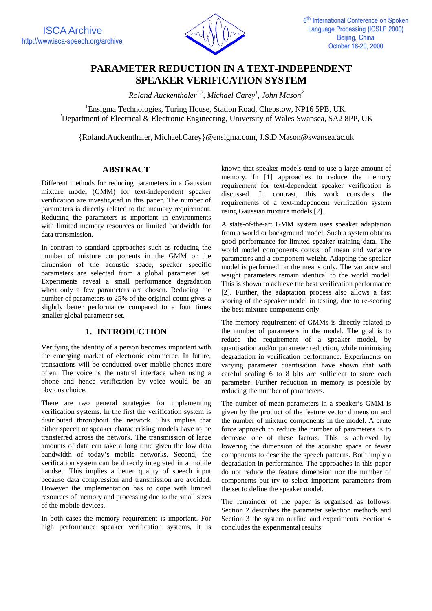

# **PARAMETER REDUCTION IN A TEXT-INDEPENDENT SPEAKER VERIFICATION SYSTEM**

*Roland Auckenthaler1,2, Michael Carey<sup>1</sup> , John Mason<sup>2</sup>*

<sup>1</sup>Ensigma Technologies, Turing House, Station Road, Chepstow, NP16 5PB, UK. <sup>2</sup>Department of Electrical & Electronic Engineering, University of Wales Swansea, SA2 8PP, UK

{Roland.Auckenthaler, Michael.Carey}@ensigma.com, J.S.D.Mason@swansea.ac.uk

## **ABSTRACT**

Different methods for reducing parameters in a Gaussian mixture model (GMM) for text-independent speaker verification are investigated in this paper. The number of parameters is directly related to the memory requirement. Reducing the parameters is important in environments with limited memory resources or limited bandwidth for data transmission.

In contrast to standard approaches such as reducing the number of mixture components in the GMM or the dimension of the acoustic space, speaker specific parameters are selected from a global parameter set. Experiments reveal a small performance degradation when only a few parameters are chosen. Reducing the number of parameters to 25% of the original count gives a slightly better performance compared to a four times smaller global parameter set.

## **1. INTRODUCTION**

Verifying the identity of a person becomes important with the emerging market of electronic commerce. In future, transactions will be conducted over mobile phones more often. The voice is the natural interface when using a phone and hence verification by voice would be an obvious choice.

There are two general strategies for implementing verification systems. In the first the verification system is distributed throughout the network. This implies that either speech or speaker characterising models have to be transferred across the network. The transmission of large amounts of data can take a long time given the low data bandwidth of today's mobile networks. Second, the verification system can be directly integrated in a mobile handset. This implies a better quality of speech input because data compression and transmission are avoided. However the implementation has to cope with limited resources of memory and processing due to the small sizes of the mobile devices.

In both cases the memory requirement is important. For high performance speaker verification systems, it is

known that speaker models tend to use a large amount of memory. In [1] approaches to reduce the memory requirement for text-dependent speaker verification is discussed. In contrast, this work considers the requirements of a text-independent verification system using Gaussian mixture models [2].

A state-of-the-art GMM system uses speaker adaptation from a world or background model. Such a system obtains good performance for limited speaker training data. The world model components consist of mean and variance parameters and a component weight. Adapting the speaker model is performed on the means only. The variance and weight parameters remain identical to the world model. This is shown to achieve the best verification performance [2]. Further, the adaptation process also allows a fast scoring of the speaker model in testing, due to re-scoring the best mixture components only.

The memory requirement of GMMs is directly related to the number of parameters in the model. The goal is to reduce the requirement of a speaker model, by quantisation and/or parameter reduction, while minimising degradation in verification performance. Experiments on varying parameter quantisation have shown that with careful scaling 6 to 8 bits are sufficient to store each parameter. Further reduction in memory is possible by reducing the number of parameters.

The number of mean parameters in a speaker's GMM is given by the product of the feature vector dimension and the number of mixture components in the model. A brute force approach to reduce the number of parameters is to decrease one of these factors. This is achieved by lowering the dimension of the acoustic space or fewer components to describe the speech patterns. Both imply a degradation in performance. The approaches in this paper do not reduce the feature dimension nor the number of components but try to select important parameters from the set to define the speaker model.

The remainder of the paper is organised as follows: Section 2 describes the parameter selection methods and Section 3 the system outline and experiments. Section 4 concludes the experimental results.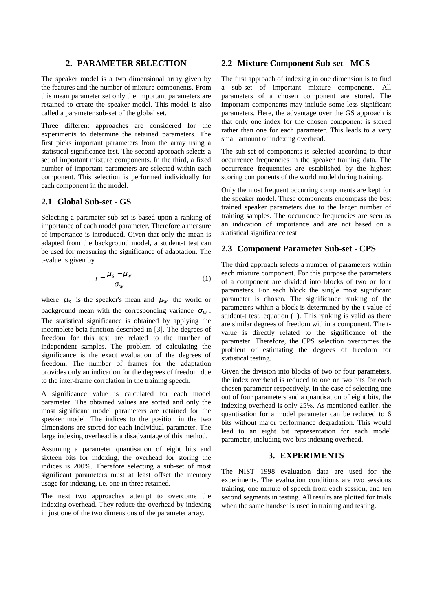#### **2. PARAMETER SELECTION**

The speaker model is a two dimensional array given by the features and the number of mixture components. From this mean parameter set only the important parameters are retained to create the speaker model. This model is also called a parameter sub-set of the global set.

Three different approaches are considered for the experiments to determine the retained parameters. The first picks important parameters from the array using a statistical significance test. The second approach selects a set of important mixture components. In the third, a fixed number of important parameters are selected within each component. This selection is performed individually for each component in the model.

#### **2.1 Global Sub-set - GS**

Selecting a parameter sub-set is based upon a ranking of importance of each model parameter. Therefore a measure of importance is introduced. Given that only the mean is adapted from the background model, a student-t test can be used for measuring the significance of adaptation. The t-value is given by

$$
t = \frac{\mu_S - \mu_W}{\sigma_W} \tag{1}
$$

where  $\mu<sub>S</sub>$  is the speaker's mean and  $\mu<sub>W</sub>$  the world or background mean with the corresponding variance  $\sigma_W$ . The statistical significance is obtained by applying the incomplete beta function described in [3]. The degrees of freedom for this test are related to the number of independent samples. The problem of calculating the significance is the exact evaluation of the degrees of freedom. The number of frames for the adaptation provides only an indication for the degrees of freedom due to the inter-frame correlation in the training speech.

A significance value is calculated for each model parameter. The obtained values are sorted and only the most significant model parameters are retained for the speaker model. The indices to the position in the two dimensions are stored for each individual parameter. The large indexing overhead is a disadvantage of this method.

Assuming a parameter quantisation of eight bits and sixteen bits for indexing, the overhead for storing the indices is 200%. Therefore selecting a sub-set of most significant parameters must at least offset the memory usage for indexing, i.e. one in three retained.

The next two approaches attempt to overcome the indexing overhead. They reduce the overhead by indexing in just one of the two dimensions of the parameter array.

#### **2.2 Mixture Component Sub-set - MCS**

The first approach of indexing in one dimension is to find a sub-set of important mixture components. All parameters of a chosen component are stored. The important components may include some less significant parameters. Here, the advantage over the GS approach is that only one index for the chosen component is stored rather than one for each parameter. This leads to a very small amount of indexing overhead.

The sub-set of components is selected according to their occurrence frequencies in the speaker training data. The occurrence frequencies are established by the highest scoring components of the world model during training.

Only the most frequent occurring components are kept for the speaker model. These components encompass the best trained speaker parameters due to the larger number of training samples. The occurrence frequencies are seen as an indication of importance and are not based on a statistical significance test.

#### **2.3 Component Parameter Sub-set - CPS**

The third approach selects a number of parameters within each mixture component. For this purpose the parameters of a component are divided into blocks of two or four parameters. For each block the single most significant parameter is chosen. The significance ranking of the parameters within a block is determined by the t value of student-t test, equation (1). This ranking is valid as there are similar degrees of freedom within a component. The tvalue is directly related to the significance of the parameter. Therefore, the CPS selection overcomes the problem of estimating the degrees of freedom for statistical testing.

Given the division into blocks of two or four parameters, the index overhead is reduced to one or two bits for each chosen parameter respectively. In the case of selecting one out of four parameters and a quantisation of eight bits, the indexing overhead is only 25%. As mentioned earlier, the quantisation for a model parameter can be reduced to 6 bits without major performance degradation. This would lead to an eight bit representation for each model parameter, including two bits indexing overhead.

### **3. EXPERIMENTS**

The NIST 1998 evaluation data are used for the experiments. The evaluation conditions are two sessions training, one minute of speech from each session, and ten second segments in testing. All results are plotted for trials when the same handset is used in training and testing.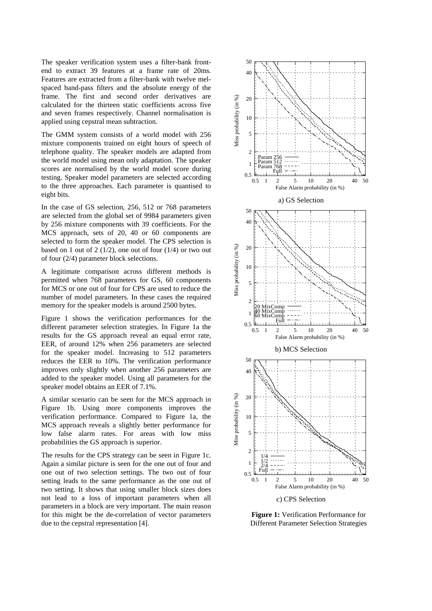The speaker verification system uses a filter-bank frontend to extract 39 features at a frame rate of 20ms. Features are extracted from a filter-bank with twelve melspaced band-pass filters and the absolute energy of the frame. The first and second order derivatives are calculated for the thirteen static coefficients across five and seven frames respectively. Channel normalisation is applied using cepstral mean subtraction.

The GMM system consists of a world model with 256 mixture components trained on eight hours of speech of telephone quality. The speaker models are adapted from the world model using mean only adaptation. The speaker scores are normalised by the world model score during testing. Speaker model parameters are selected according to the three approaches. Each parameter is quantised to eight bits.

In the case of GS selection, 256, 512 or 768 parameters are selected from the global set of 9984 parameters given by 256 mixture components with 39 coefficients. For the MCS approach, sets of 20, 40 or 60 components are selected to form the speaker model. The CPS selection is based on 1 out of 2 ( $1/2$ ), one out of four ( $1/4$ ) or two out of four (2/4) parameter block selections.

A legitimate comparison across different methods is permitted when 768 parameters for GS, 60 components for MCS or one out of four for CPS are used to reduce the number of model parameters. In these cases the required memory for the speaker models is around 2500 bytes.

Figure 1 shows the verification performances for the different parameter selection strategies. In Figure 1a the results for the GS approach reveal an equal error rate, EER, of around 12% when 256 parameters are selected for the speaker model. Increasing to 512 parameters reduces the EER to 10%. The verification performance improves only slightly when another 256 parameters are added to the speaker model. Using all parameters for the speaker model obtains an EER of 7.1%.

A similar scenario can be seen for the MCS approach in Figure 1b. Using more components improves the verification performance. Compared to Figure 1a, the MCS approach reveals a slightly better performance for low false alarm rates. For areas with low miss probabilities the GS approach is superior.

The results for the CPS strategy can be seen in Figure 1c. Again a similar picture is seen for the one out of four and one out of two selection settings. The two out of four setting leads to the same performance as the one out of two setting. It shows that using smaller block sizes does not lead to a loss of important parameters when all parameters in a block are very important. The main reason for this might be the de-correlation of vector parameters due to the cepstral representation [4].



**Figure 1:** Verification Performance for Different Parameter Selection Strategies